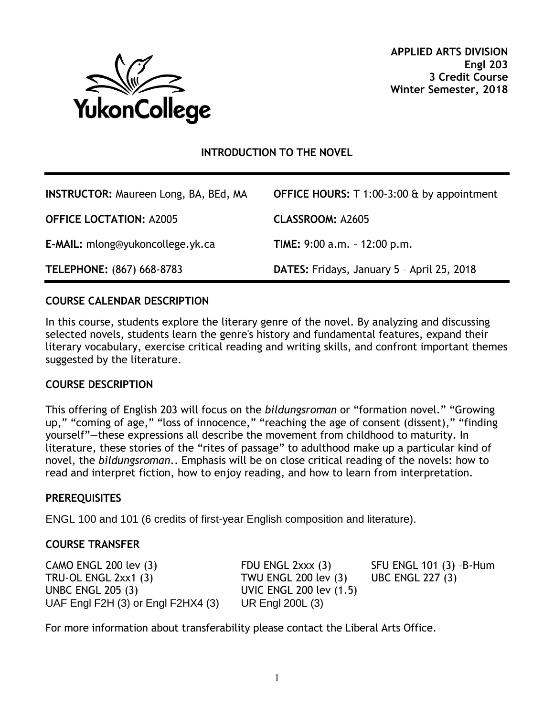

# **INTRODUCTION TO THE NOVEL**

| <b>INSTRUCTOR: Maureen Long, BA, BEd, MA</b> | <b>OFFICE HOURS:</b> $T$ 1:00-3:00 $\&$ by appointment |
|----------------------------------------------|--------------------------------------------------------|
| <b>OFFICE LOCTATION: A2005</b>               | <b>CLASSROOM: A2605</b>                                |
| E-MAIL: mlong@yukoncollege.yk.ca             | <b>TIME:</b> $9:00$ a.m. $-12:00$ p.m.                 |
| TELEPHONE: (867) 668-8783                    | DATES: Fridays, January 5 - April 25, 2018             |

#### **COURSE CALENDAR DESCRIPTION**

In this course, students explore the literary genre of the novel. By analyzing and discussing selected novels, students learn the genre's history and fundamental features, expand their literary vocabulary, exercise critical reading and writing skills, and confront important themes suggested by the literature.

#### **COURSE DESCRIPTION**

This offering of English 203 will focus on the *bildungsroman* or "formation novel." "Growing up," "coming of age," "loss of innocence," "reaching the age of consent (dissent)," "finding yourself"—these expressions all describe the movement from childhood to maturity. In literature, these stories of the "rites of passage" to adulthood make up a particular kind of novel, the *bildungsroman*.. Emphasis will be on close critical reading of the novels: how to read and interpret fiction, how to enjoy reading, and how to learn from interpretation.

#### **PREREQUISITES**

ENGL 100 and 101 (6 credits of first-year English composition and literature).

#### **COURSE TRANSFER**

CAMO ENGL 200 lev (3) FDU ENGL 2xxx (3) SFU ENGL 101 (3) –B-Hum TRU-OL ENGL 2xx1 (3) TWU ENGL 200 lev (3) UBC ENGL 227 (3) UNBC ENGL 205 (3) UVIC ENGL 200 lev (1.5) UAF Engl F2H (3) or Engl F2HX4 (3) UR Engl 200L (3)

For more information about transferability please contact the Liberal Arts Office.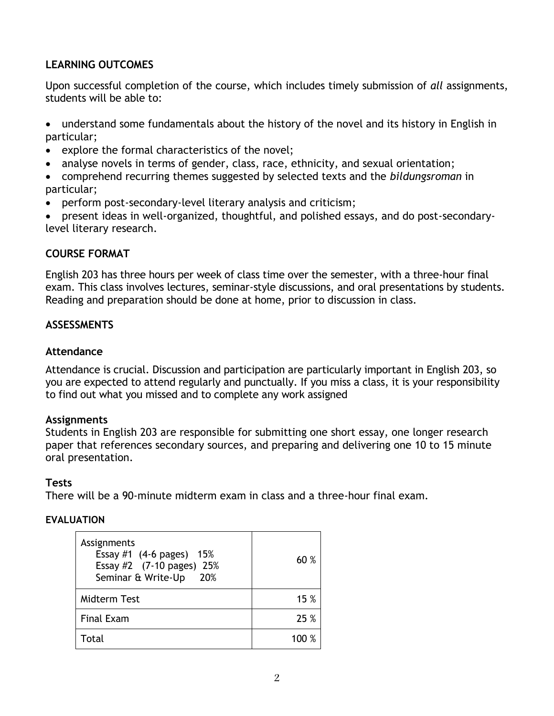# **LEARNING OUTCOMES**

Upon successful completion of the course, which includes timely submission of *all* assignments, students will be able to:

- understand some fundamentals about the history of the novel and its history in English in particular;
- explore the formal characteristics of the novel;
- analyse novels in terms of gender, class, race, ethnicity, and sexual orientation;
- comprehend recurring themes suggested by selected texts and the *bildungsroman* in particular;
- perform post-secondary-level literary analysis and criticism;
- present ideas in well-organized, thoughtful, and polished essays, and do post-secondarylevel literary research.

## **COURSE FORMAT**

English 203 has three hours per week of class time over the semester, with a three-hour final exam. This class involves lectures, seminar-style discussions, and oral presentations by students. Reading and preparation should be done at home, prior to discussion in class.

## **ASSESSMENTS**

## **Attendance**

Attendance is crucial. Discussion and participation are particularly important in English 203, so you are expected to attend regularly and punctually. If you miss a class, it is your responsibility to find out what you missed and to complete any work assigned

### **Assignments**

Students in English 203 are responsible for submitting one short essay, one longer research paper that references secondary sources, and preparing and delivering one 10 to 15 minute oral presentation.

### **Tests**

There will be a 90-minute midterm exam in class and a three-hour final exam.

### **EVALUATION**

| Assignments<br>Essay #1 $(4-6 \text{ pages})$ 15%<br>Essay #2 (7-10 pages) 25%<br>Seminar & Write-Up 20% | 60 %  |
|----------------------------------------------------------------------------------------------------------|-------|
| <b>Midterm Test</b>                                                                                      | 15 %  |
| <b>Final Exam</b>                                                                                        | 25 %  |
| Total                                                                                                    | 100 % |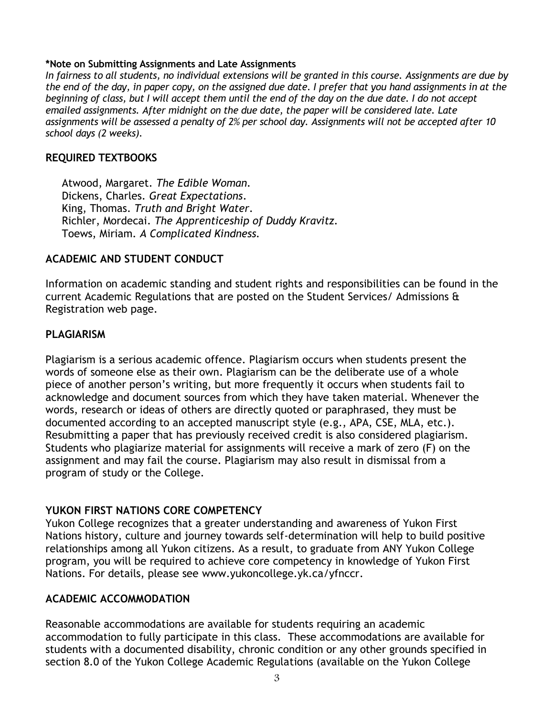#### **\*Note on Submitting Assignments and Late Assignments**

*In fairness to all students, no individual extensions will be granted in this course. Assignments are due by the end of the day, in paper copy, on the assigned due date. I prefer that you hand assignments in at the beginning of class, but I will accept them until the end of the day on the due date. I do not accept emailed assignments. After midnight on the due date, the paper will be considered late. Late assignments will be assessed a penalty of 2% per school day. Assignments will not be accepted after 10 school days (2 weeks).*

## **REQUIRED TEXTBOOKS**

Atwood, Margaret. *The Edible Woman.* Dickens, Charles. *Great Expectations*. King, Thomas. *Truth and Bright Water*. Richler, Mordecai. *The Apprenticeship of Duddy Kravitz.* Toews, Miriam. *A Complicated Kindness.*

# **ACADEMIC AND STUDENT CONDUCT**

Information on academic standing and student rights and responsibilities can be found in the current Academic Regulations that are posted on the Student Services/ Admissions & Registration web page.

# **PLAGIARISM**

Plagiarism is a serious academic offence. Plagiarism occurs when students present the words of someone else as their own. Plagiarism can be the deliberate use of a whole piece of another person's writing, but more frequently it occurs when students fail to acknowledge and document sources from which they have taken material. Whenever the words, research or ideas of others are directly quoted or paraphrased, they must be documented according to an accepted manuscript style (e.g., APA, CSE, MLA, etc.). Resubmitting a paper that has previously received credit is also considered plagiarism. Students who plagiarize material for assignments will receive a mark of zero (F) on the assignment and may fail the course. Plagiarism may also result in dismissal from a program of study or the College.

# **YUKON FIRST NATIONS CORE COMPETENCY**

Yukon College recognizes that a greater understanding and awareness of Yukon First Nations history, culture and journey towards self-determination will help to build positive relationships among all Yukon citizens. As a result, to graduate from ANY Yukon College program, you will be required to achieve core competency in knowledge of Yukon First Nations. For details, please see [www.yukoncollege.yk.ca/yfnccr.](http://www.yukoncollege.yk.ca/yfnccr)

### **ACADEMIC ACCOMMODATION**

Reasonable accommodations are available for students requiring an academic accommodation to fully participate in this class. These accommodations are available for students with a documented disability, chronic condition or any other grounds specified in section 8.0 of the Yukon College Academic Regulations (available on the Yukon College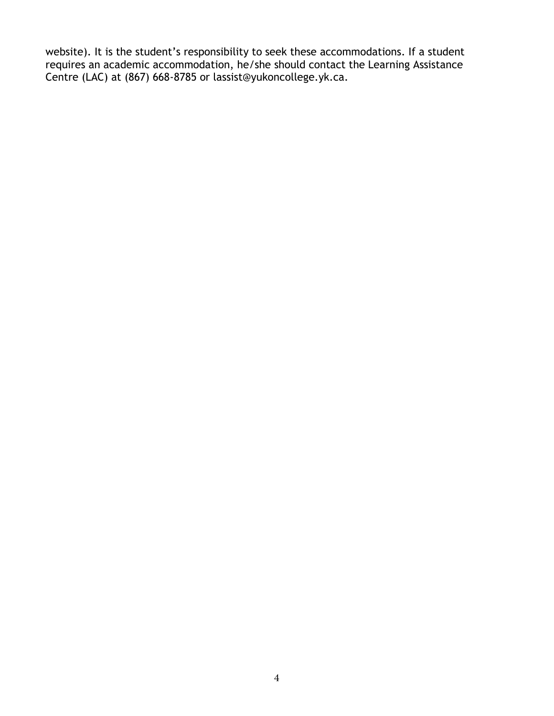website). It is the student's responsibility to seek these accommodations. If a student requires an academic accommodation, he/she should contact the Learning Assistance Centre (LAC) at (867) 668-8785 or lassist@yukoncollege.yk.ca.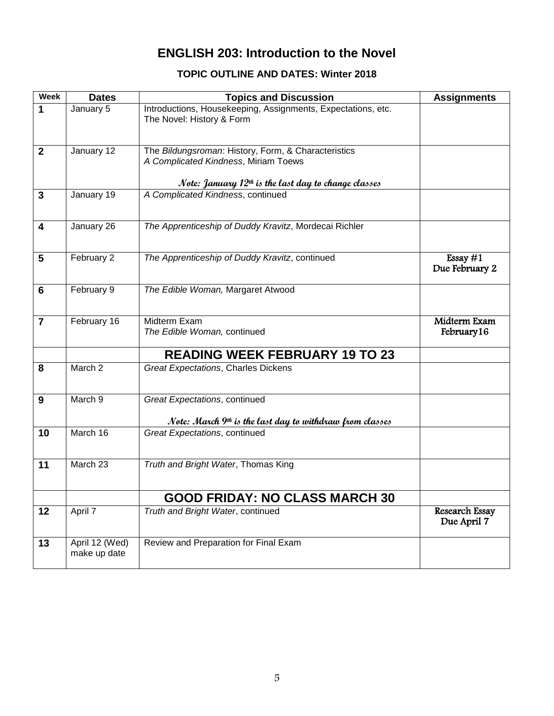# **ENGLISH 203: Introduction to the Novel**

# **TOPIC OUTLINE AND DATES: Winter 2018**

| <b>Week</b>    | <b>Dates</b>                   | <b>Topics and Discussion</b>                                                                                                                          | <b>Assignments</b>                   |
|----------------|--------------------------------|-------------------------------------------------------------------------------------------------------------------------------------------------------|--------------------------------------|
| $\mathbf{1}$   | January 5                      | Introductions, Housekeeping, Assignments, Expectations, etc.<br>The Novel: History & Form                                                             |                                      |
| $\mathbf{2}$   | January 12                     | The Bildungsroman: History, Form, & Characteristics<br>A Complicated Kindness, Miriam Toews<br>Note: January $12th$ is the last day to change classes |                                      |
| $\mathbf{3}$   | January 19                     | A Complicated Kindness, continued                                                                                                                     |                                      |
|                |                                |                                                                                                                                                       |                                      |
| 4              | January 26                     | The Apprenticeship of Duddy Kravitz, Mordecai Richler                                                                                                 |                                      |
| 5              | February 2                     | The Apprenticeship of Duddy Kravitz, continued                                                                                                        | Essay $#1$<br>Due February 2         |
| 6              | February 9                     | The Edible Woman, Margaret Atwood                                                                                                                     |                                      |
| $\overline{7}$ | February 16                    | Midterm Exam<br>The Edible Woman, continued                                                                                                           | Midterm Exam<br>February 16          |
|                |                                | <b>READING WEEK FEBRUARY 19 TO 23</b>                                                                                                                 |                                      |
| 8              | March 2                        | <b>Great Expectations, Charles Dickens</b>                                                                                                            |                                      |
| 9              | March 9                        | Great Expectations, continued                                                                                                                         |                                      |
|                |                                |                                                                                                                                                       |                                      |
| 10             | March 16                       | Note: March $9th$ is the last day to withdraw from classes<br>Great Expectations, continued                                                           |                                      |
|                |                                |                                                                                                                                                       |                                      |
| 11             | March 23                       | Truth and Bright Water, Thomas King                                                                                                                   |                                      |
|                |                                | <b>GOOD FRIDAY: NO CLASS MARCH 30</b>                                                                                                                 |                                      |
| 12             | April 7                        | Truth and Bright Water, continued                                                                                                                     | <b>Research Essay</b><br>Due April 7 |
| 13             | April 12 (Wed)<br>make up date | Review and Preparation for Final Exam                                                                                                                 |                                      |